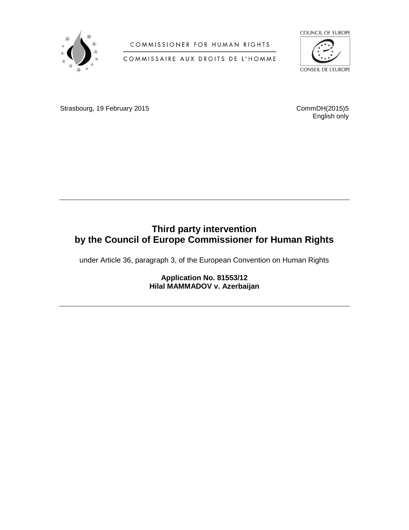

COMMISSIONER FOR HUMAN RIGHTS

COMMISSAIRE AUX DROITS DE L'HOMME



Strasbourg, 19 February 2015 CommDH(2015)5

English only

# **Third party intervention by the Council of Europe Commissioner for Human Rights**

under Article 36, paragraph 3, of the European Convention on Human Rights

**Application No. 81553/12 Hilal MAMMADOV v. Azerbaijan**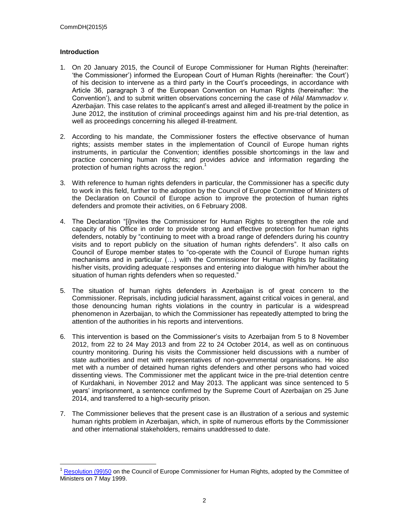# **Introduction**

 $\overline{a}$ 

- 1. On 20 January 2015, the Council of Europe Commissioner for Human Rights (hereinafter: 'the Commissioner') informed the European Court of Human Rights (hereinafter: 'the Court') of his decision to intervene as a third party in the Court's proceedings, in accordance with Article 36, paragraph 3 of the European Convention on Human Rights (hereinafter: 'the Convention'), and to submit written observations concerning the case of *Hilal Mammadov v. Azerbaijan*. This case relates to the applicant's arrest and alleged ill-treatment by the police in June 2012, the institution of criminal proceedings against him and his pre-trial detention, as well as proceedings concerning his alleged ill-treatment.
- 2. According to his mandate, the Commissioner fosters the effective observance of human rights; assists member states in the implementation of Council of Europe human rights instruments, in particular the Convention; identifies possible shortcomings in the law and practice concerning human rights; and provides advice and information regarding the protection of human rights across the region.<sup>1</sup>
- 3. With reference to human rights defenders in particular, the Commissioner has a specific duty to work in this field, further to the adoption by the Council of Europe Committee of Ministers of the Declaration on Council of Europe action to improve the protection of human rights defenders and promote their activities, on 6 February 2008.
- 4. The Declaration "[i]nvites the Commissioner for Human Rights to strengthen the role and capacity of his Office in order to provide strong and effective protection for human rights defenders, notably by "continuing to meet with a broad range of defenders during his country visits and to report publicly on the situation of human rights defenders". It also calls on Council of Europe member states to "co-operate with the Council of Europe human rights mechanisms and in particular (…) with the Commissioner for Human Rights by facilitating his/her visits, providing adequate responses and entering into dialogue with him/her about the situation of human rights defenders when so requested."
- 5. The situation of human rights defenders in Azerbaijan is of great concern to the Commissioner. Reprisals, including judicial harassment, against critical voices in general, and those denouncing human rights violations in the country in particular is a widespread phenomenon in Azerbaijan, to which the Commissioner has repeatedly attempted to bring the attention of the authorities in his reports and interventions.
- 6. This intervention is based on the Commissioner's visits to Azerbaijan from 5 to 8 November 2012, from 22 to 24 May 2013 and from 22 to 24 October 2014, as well as on continuous country monitoring. During his visits the Commissioner held discussions with a number of state authorities and met with representatives of non-governmental organisations. He also met with a number of detained human rights defenders and other persons who had voiced dissenting views. The Commissioner met the applicant twice in the pre-trial detention centre of Kurdakhani, in November 2012 and May 2013. The applicant was since sentenced to 5 years' imprisonment, a sentence confirmed by the Supreme Court of Azerbaijan on 25 June 2014, and transferred to a high-security prison.
- 7. The Commissioner believes that the present case is an illustration of a serious and systemic human rights problem in Azerbaijan, which, in spite of numerous efforts by the Commissioner and other international stakeholders, remains unaddressed to date.

<sup>&</sup>lt;sup>1</sup> [Resolution \(99\)50](https://wcd.coe.int/ViewDoc.jsp?id=458513) on the Council of Europe Commissioner for Human Rights, adopted by the Committee of Ministers on 7 May 1999.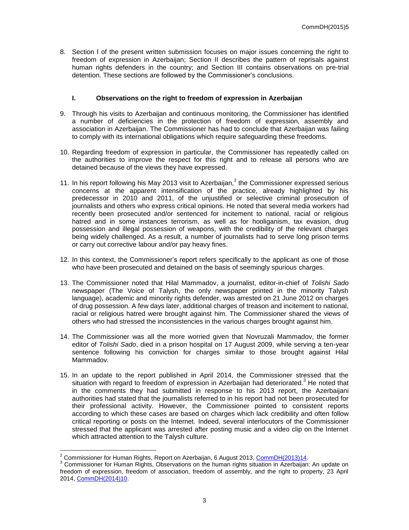8. Section I of the present written submission focuses on major issues concerning the right to freedom of expression in Azerbaijan; Section II describes the pattern of reprisals against human rights defenders in the country; and Section III contains observations on pre-trial detention. These sections are followed by the Commissioner's conclusions.

## **I. Observations on the right to freedom of expression in Azerbaijan**

- 9. Through his visits to Azerbaijan and continuous monitoring, the Commissioner has identified a number of deficiencies in the protection of freedom of expression, assembly and association in Azerbaijan. The Commissioner has had to conclude that Azerbaijan was failing to comply with its international obligations which require safeguarding these freedoms.
- 10. Regarding freedom of expression in particular, the Commissioner has repeatedly called on the authorities to improve the respect for this right and to release all persons who are detained because of the views they have expressed.
- 11. In his report following his May 2013 visit to Azerbaijan, $<sup>2</sup>$  the Commissioner expressed serious</sup> concerns at the apparent intensification of the practice, already highlighted by his predecessor in 2010 and 2011, of the unjustified or selective criminal prosecution of journalists and others who express critical opinions. He noted that several media workers had recently been prosecuted and/or sentenced for incitement to national, racial or religious hatred and in some instances terrorism, as well as for hooliganism, tax evasion, drug possession and illegal possession of weapons, with the credibility of the relevant charges being widely challenged. As a result, a number of journalists had to serve long prison terms or carry out corrective labour and/or pay heavy fines.
- 12. In this context, the Commissioner's report refers specifically to the applicant as one of those who have been prosecuted and detained on the basis of seemingly spurious charges.
- 13. The Commissioner noted that Hilal Mammadov, a journalist, editor-in-chief of *Tolishi Sado*  newspaper (The Voice of Talysh, the only newspaper printed in the minority Talysh language), academic and minority rights defender, was arrested on 21 June 2012 on charges of drug possession. A few days later, additional charges of treason and incitement to national, racial or religious hatred were brought against him. The Commissioner shared the views of others who had stressed the inconsistencies in the various charges brought against him.
- 14. The Commissioner was all the more worried given that Novruzali Mammadov, the former editor of *Tolishi Sado*, died in a prison hospital on 17 August 2009, while serving a ten-year sentence following his conviction for charges similar to those brought against Hilal Mammadov.
- 15. In an update to the report published in April 2014, the Commissioner stressed that the situation with regard to freedom of expression in Azerbaijan had deteriorated. $3$  He noted that in the comments they had submitted in response to his 2013 report, the Azerbaijani authorities had stated that the journalists referred to in his report had not been prosecuted for their professional activity. However, the Commissioner pointed to consistent reports according to which these cases are based on charges which lack credibility and often follow critical reporting or posts on the Internet. Indeed, several interlocutors of the Commissioner stressed that the applicant was arrested after posting music and a video clip on the Internet which attracted attention to the Talysh culture.

 $\overline{a}$ <sup>2</sup> Commissioner for Human Rights, Report on Azerbaijan, 6 August 2013, [CommDH\(2013\)14.](https://wcd.coe.int/com.instranet.InstraServlet?command=com.instranet.CmdBlobGet&InstranetImage=2501767&SecMode=1&DocId=2130154&Usage=2)

<sup>&</sup>lt;sup>3</sup> Commissioner for Human Rights, Observations on the human rights situation in Azerbaijan: An update on freedom of expression, freedom of association, freedom of assembly, and the right to property, 23 April 2014, [CommDH\(2014\)10.](https://wcd.coe.int/com.instranet.InstraServlet?command=com.instranet.CmdBlobGet&InstranetImage=2540668&SecMode=1&DocId=2150384&Usage=2)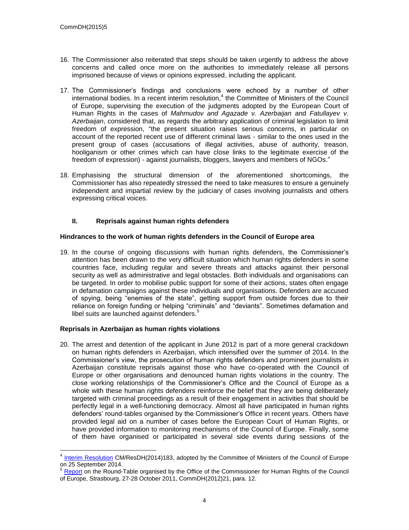- 16. The Commissioner also reiterated that steps should be taken urgently to address the above concerns and called once more on the authorities to immediately release all persons imprisoned because of views or opinions expressed, including the applicant.
- 17. The Commissioner's findings and conclusions were echoed by a number of other international bodies. In a recent interim resolution, 4 the Committee of Ministers of the Council of Europe, supervising the execution of the judgments adopted by the European Court of Human Rights in the cases of *Mahmudov and Agazade v. Azerbaijan* and *Fatullayev v. Azerbaijan*, considered that, as regards the arbitrary application of criminal legislation to limit freedom of expression, "the present situation raises serious concerns, in particular on account of the reported recent use of different criminal laws - similar to the ones used in the present group of cases (accusations of illegal activities, abuse of authority, treason, hooliganism or other crimes which can have close links to the legitimate exercise of the freedom of expression) - against journalists, bloggers, lawyers and members of NGOs."
- 18. Emphasising the structural dimension of the aforementioned shortcomings, the Commissioner has also repeatedly stressed the need to take measures to ensure a genuinely independent and impartial review by the judiciary of cases involving journalists and others expressing critical voices.

## **II. Reprisals against human rights defenders**

## **Hindrances to the work of human rights defenders in the Council of Europe area**

19. In the course of ongoing discussions with human rights defenders, the Commissioner's attention has been drawn to the very difficult situation which human rights defenders in some countries face, including regular and severe threats and attacks against their personal security as well as administrative and legal obstacles. Both individuals and organisations can be targeted. In order to mobilise public support for some of their actions, states often engage in defamation campaigns against these individuals and organisations. Defenders are accused of spying, being "enemies of the state", getting support from outside forces due to their reliance on foreign funding or helping "criminals" and "deviants". Sometimes defamation and libel suits are launched against defenders.<sup>5</sup>

# **Reprisals in Azerbaijan as human rights violations**

20. The arrest and detention of the applicant in June 2012 is part of a more general crackdown on human rights defenders in Azerbaijan, which intensified over the summer of 2014. In the Commissioner's view, the prosecution of human rights defenders and prominent journalists in Azerbaijan constitute reprisals against those who have co-operated with the Council of Europe or other organisations and denounced human rights violations in the country. The close working relationships of the Commissioner's Office and the Council of Europe as a whole with these human rights defenders reinforce the belief that they are being deliberately targeted with criminal proceedings as a result of their engagement in activities that should be perfectly legal in a well-functioning democracy. Almost all have participated in human rights defenders' round-tables organised by the Commissioner's Office in recent years. Others have provided legal aid on a number of cases before the European Court of Human Rights, or have provided information to monitoring mechanisms of the Council of Europe. Finally, some of them have organised or participated in several side events during sessions of the

 4 [Interim Resolution](https://wcd.coe.int/ViewDoc.jsp?id=2239635&Site=CM) CM/ResDH(2014)183, adopted by the Committee of Ministers of the Council of Europe on 25 September 2014.

<sup>5</sup> [Report](https://wcd.coe.int/ViewDoc.jsp?Ref=CommDH%282012%2921&Language=lanEnglish) on the Round-Table organised by the Office of the Commissioner for Human Rights of the Council of Europe, Strasbourg, 27-28 October 2011, CommDH(2012)21, para. 12.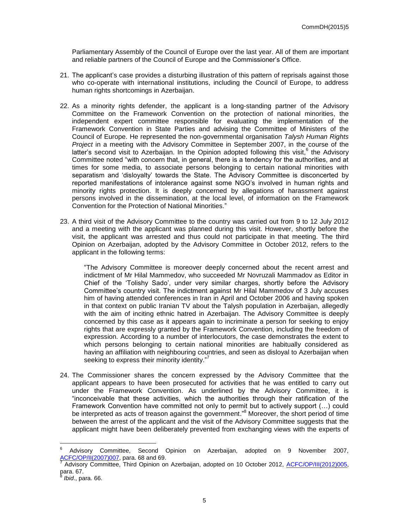Parliamentary Assembly of the Council of Europe over the last year. All of them are important and reliable partners of the Council of Europe and the Commissioner's Office.

- 21. The applicant's case provides a disturbing illustration of this pattern of reprisals against those who co-operate with international institutions, including the Council of Europe, to address human rights shortcomings in Azerbaijan.
- 22. As a minority rights defender, the applicant is a long-standing partner of the Advisory Committee on the Framework Convention on the protection of national minorities, the independent expert committee responsible for evaluating the implementation of the Framework Convention in State Parties and advising the Committee of Ministers of the Council of Europe. He represented the non-governmental organisation *Talysh Human Rights Project* in a meeting with the Advisory Committee in September 2007, in the course of the latter's second visit to Azerbaijan. In the Opinion adopted following this visit,<sup>6</sup> the Advisory Committee noted "with concern that, in general, there is a tendency for the authorities, and at times for some media, to associate persons belonging to certain national minorities with separatism and 'disloyalty' towards the State. The Advisory Committee is disconcerted by reported manifestations of intolerance against some NGO's involved in human rights and minority rights protection. It is deeply concerned by allegations of harassment against persons involved in the dissemination, at the local level, of information on the Framework Convention for the Protection of National Minorities."
- 23. A third visit of the Advisory Committee to the country was carried out from 9 to 12 July 2012 and a meeting with the applicant was planned during this visit. However, shortly before the visit, the applicant was arrested and thus could not participate in that meeting. The third Opinion on Azerbaijan, adopted by the Advisory Committee in October 2012, refers to the applicant in the following terms:

"The Advisory Committee is moreover deeply concerned about the recent arrest and indictment of Mr Hilal Mammedov, who succeeded Mr Novruzali Mammadov as Editor in Chief of the 'Tolishy Sado', under very similar charges, shortly before the Advisory Committee's country visit. The indictment against Mr Hilal Mammedov of 3 July accuses him of having attended conferences in Iran in April and October 2006 and having spoken in that context on public Iranian TV about the Talysh population in Azerbaijan, allegedly with the aim of inciting ethnic hatred in Azerbaijan. The Advisory Committee is deeply concerned by this case as it appears again to incriminate a person for seeking to enjoy rights that are expressly granted by the Framework Convention, including the freedom of expression. According to a number of interlocutors, the case demonstrates the extent to which persons belonging to certain national minorities are habitually considered as having an affiliation with neighbouring countries, and seen as disloyal to Azerbaijan when seeking to express their minority identity."7

24. The Commissioner shares the concern expressed by the Advisory Committee that the applicant appears to have been prosecuted for activities that he was entitled to carry out under the Framework Convention. As underlined by the Advisory Committee, it is "inconceivable that these activities, which the authorities through their ratification of the Framework Convention have committed not only to permit but to actively support (…) could be interpreted as acts of treason against the government.<sup>"8</sup> Moreover, the short period of time between the arrest of the applicant and the visit of the Advisory Committee suggests that the applicant might have been deliberately prevented from exchanging views with the experts of

 $\overline{a}$ 

<sup>6</sup> Advisory Committee, Second Opinion on Azerbaijan, adopted on 9 November 2007, [ACFC/OP/II\(2007\)007,](http://www.coe.int/t/dghl/monitoring/minorities/3_FCNMdocs/PDF_2nd_OP_Azerbaijan_en.pdf) para. 68 and 69.

Advisory Committee, Third Opinion on Azerbaijan, adopted on 10 October 2012, [ACFC/OP/III\(2012\)005,](http://www.coe.int/t/dghl/monitoring/minorities/3_FCNMdocs/PDF_3rd_OP_Azerbaijan_en.pdf) para. 67.

*Ibid*., para. 66.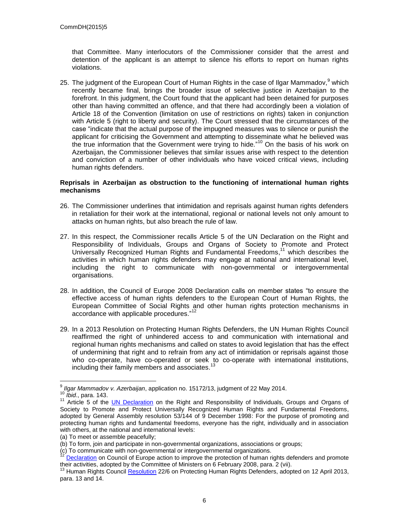that Committee. Many interlocutors of the Commissioner consider that the arrest and detention of the applicant is an attempt to silence his efforts to report on human rights violations.

25. The judgment of the European Court of Human Rights in the case of Ilgar Mammadov,<sup>9</sup> which recently became final, brings the broader issue of selective justice in Azerbaijan to the forefront. In this judgment, the Court found that the applicant had been detained for purposes other than having committed an offence, and that there had accordingly been a violation of Article 18 of the Convention (limitation on use of restrictions on rights) taken in conjunction with Article 5 (right to liberty and security). The Court stressed that the circumstances of the case "indicate that the actual purpose of the impugned measures was to silence or punish the applicant for criticising the Government and attempting to disseminate what he believed was the true information that the Government were trying to hide."<sup>10</sup> On the basis of his work on Azerbaijan, the Commissioner believes that similar issues arise with respect to the detention and conviction of a number of other individuals who have voiced critical views, including human rights defenders.

#### **Reprisals in Azerbaijan as obstruction to the functioning of international human rights mechanisms**

- 26. The Commissioner underlines that intimidation and reprisals against human rights defenders in retaliation for their work at the international, regional or national levels not only amount to attacks on human rights, but also breach the rule of law.
- 27. In this respect, the Commissioner recalls Article 5 of the UN Declaration on the Right and Responsibility of Individuals, Groups and Organs of Society to Promote and Protect Universally Recognized Human Rights and Fundamental Freedoms, <sup>11</sup> which describes the activities in which human rights defenders may engage at national and international level, including the right to communicate with non-governmental or intergovernmental organisations.
- 28. In addition, the Council of Europe 2008 Declaration calls on member states "to ensure the effective access of human rights defenders to the European Court of Human Rights, the European Committee of Social Rights and other human rights protection mechanisms in accordance with applicable procedures."<sup>12</sup>
- 29. In a 2013 Resolution on Protecting Human Rights Defenders, the UN Human Rights Council reaffirmed the right of unhindered access to and communication with international and regional human rights mechanisms and called on states to avoid legislation that has the effect of undermining that right and to refrain from any act of intimidation or reprisals against those who co-operate, have co-operated or seek to co-operate with international institutions, including their family members and associates.<sup>13</sup>

 9 *Ilgar Mammadov v. Azerbaijan*, application no. 15172/13, judgment of 22 May 2014.

<sup>10</sup> *Ibid*., para. 143.

<sup>11</sup> Article 5 of the [UN Declaration](http://www.ohchr.org/EN/ProfessionalInterest/Pages/RightAndResponsibility.aspx) on the Right and Responsibility of Individuals, Groups and Organs of Society to Promote and Protect Universally Recognized Human Rights and Fundamental Freedoms, adopted by General Assembly resolution 53/144 of 9 December 1998: For the purpose of promoting and protecting human rights and fundamental freedoms, everyone has the right, individually and in association with others, at the national and international levels:

<sup>(</sup>a) To meet or assemble peacefully;

<sup>(</sup>b) To form, join and participate in non-governmental organizations, associations or groups;

<sup>(</sup>c) To communicate with non-governmental or intergovernmental organizations.

[Declaration](https://wcd.coe.int/ViewDoc.jsp?id=1245887&Site=CM) on Council of Europe action to improve the protection of human rights defenders and promote their activities, adopted by the Committee of Ministers on 6 February 2008, para. 2 (vii).

<sup>&</sup>lt;sup>13</sup> Human Rights Council [Resolution](http://ap.ohchr.org/documents/dpage_e.aspx?si=A/HRC/RES/22/6) 22/6 on Protecting Human Rights Defenders, adopted on 12 April 2013, para. 13 and 14.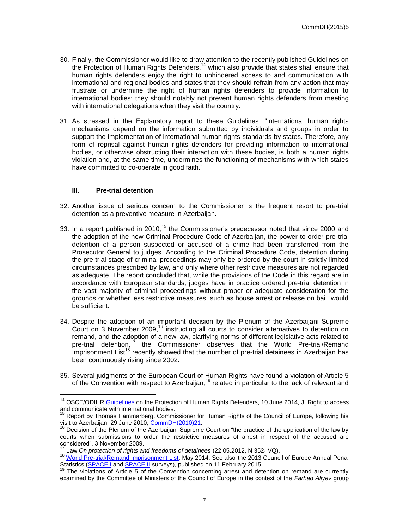- 30. Finally, the Commissioner would like to draw attention to the recently published Guidelines on the Protection of Human Rights Defenders,<sup>14</sup> which also provide that states shall ensure that human rights defenders enjoy the right to unhindered access to and communication with international and regional bodies and states that they should refrain from any action that may frustrate or undermine the right of human rights defenders to provide information to international bodies; they should notably not prevent human rights defenders from meeting with international delegations when they visit the country.
- 31. As stressed in the Explanatory report to these Guidelines, "international human rights mechanisms depend on the information submitted by individuals and groups in order to support the implementation of international human rights standards by states. Therefore, any form of reprisal against human rights defenders for providing information to international bodies, or otherwise obstructing their interaction with these bodies, is both a human rights violation and, at the same time, undermines the functioning of mechanisms with which states have committed to co-operate in good faith."

#### **III. Pre-trial detention**

- 32. Another issue of serious concern to the Commissioner is the frequent resort to pre-trial detention as a preventive measure in Azerbaijan.
- 33. In a report published in 2010,<sup>15</sup> the Commissioner's predecessor noted that since 2000 and the adoption of the new Criminal Procedure Code of Azerbaijan, the power to order pre-trial detention of a person suspected or accused of a crime had been transferred from the Prosecutor General to judges. According to the Criminal Procedure Code, detention during the pre-trial stage of criminal proceedings may only be ordered by the court in strictly limited circumstances prescribed by law, and only where other restrictive measures are not regarded as adequate. The report concluded that, while the provisions of the Code in this regard are in accordance with European standards, judges have in practice ordered pre-trial detention in the vast majority of criminal proceedings without proper or adequate consideration for the grounds or whether less restrictive measures, such as house arrest or release on bail, would be sufficient.
- 34. Despite the adoption of an important decision by the Plenum of the Azerbaijani Supreme Court on 3 November 2009,<sup>16</sup> instructing all courts to consider alternatives to detention on remand, and the adoption of a new law, clarifying norms of different legislative acts related to pre-trial detention,<sup>17</sup> the Commissioner observes that the World Pre-trial/Remand Imprisonment List<sup>18</sup> recently showed that the number of pre-trial detainees in Azerbaijan has been continuously rising since 2002.
- 35. Several judgments of the European Court of Human Rights have found a violation of Article 5 of the Convention with respect to Azerbaijan,<sup>19</sup> related in particular to the lack of relevant and

 $\overline{a}$ <sup>14</sup> OSCE/ODIHR **Guidelines** on the Protection of Human Rights Defenders, 10 June 2014, J. Right to access and communicate with international bodies.

<sup>&</sup>lt;sup>15</sup> Report by Thomas Hammarberg, Commissioner for Human Rights of the Council of Europe, following his visit to Azerbaijan, 29 June 2010, [CommDH\(2010\)21.](http://www.coe.int/en/web/commissioner/country-monitoring-azerbaijan/-/asset_publisher/RrDRPKESORE4/content/report-on-visit-to-azerbaijan-2010-?redirect=http%3A%2F%2Fwww.coe.int%2Fen%2Fweb%2Fcommissioner%2Fcountry-monitoring-azerbaijan%3Fp_p_id%3D101_INSTANCE_RrDRPKESORE4%26p_p_lifecycle%3D0%26p_p_state%3Dnormal%26p_p_mode%3Dview%26p_p_col_id%3Dcolumn-1%26p_p_col_count%3D1&inheritRedirect=true)

<sup>&</sup>lt;sup>16</sup> Decision of the Plenum of the Azerbaijani Supreme Court on "the practice of the application of the law by courts when submissions to order the restrictive measures of arrest in respect of the accused are considered", 3 November 2009.

<sup>&</sup>lt;sup>7</sup> Law *On protection of rights and freedoms of detainees (22.05.2012, N 352-IVQ).* 

<sup>&</sup>lt;sup>18</sup> [World Pre-trial/Remand Imprisonment List,](http://www.prisonstudies.org/sites/prisonstudies.org/files/resources/downloads/world_pre-trial_imprisonment_list_2nd_edition_1.pdf) May 2014. See also the 2013 Council of Europe Annual Penal Statistics [\(SPACE I](http://www3.unil.ch/wpmu/space/space-i/annual-reports/) and [SPACE II](http://www3.unil.ch/wpmu/space/space-ii/annual-reports/) surveys), published on 11 February 2015.

The violations of Article 5 of the Convention concerning arrest and detention on remand are currently examined by the Committee of Ministers of the Council of Europe in the context of the *Farhad Aliyev* group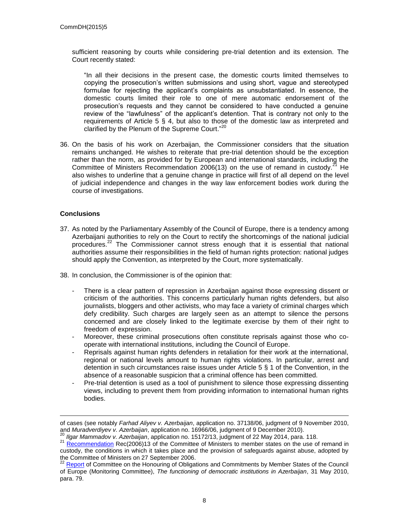sufficient reasoning by courts while considering pre-trial detention and its extension. The Court recently stated:

"In all their decisions in the present case, the domestic courts limited themselves to copying the prosecution's written submissions and using short, vague and stereotyped formulae for rejecting the applicant's complaints as unsubstantiated. In essence, the domestic courts limited their role to one of mere automatic endorsement of the prosecution's requests and they cannot be considered to have conducted a genuine review of the "lawfulness" of the applicant's detention. That is contrary not only to the requirements of Article 5 § 4, but also to those of the domestic law as interpreted and clarified by the Plenum of the Supreme Court."<sup>20</sup>

36. On the basis of his work on Azerbaijan, the Commissioner considers that the situation remains unchanged. He wishes to reiterate that pre-trial detention should be the exception rather than the norm, as provided for by European and international standards, including the Committee of Ministers Recommendation 2006(13) on the use of remand in custody.<sup>21</sup> He also wishes to underline that a genuine change in practice will first of all depend on the level of judicial independence and changes in the way law enforcement bodies work during the course of investigations.

## **Conclusions**

 $\overline{a}$ 

- 37. As noted by the Parliamentary Assembly of the Council of Europe, there is a tendency among Azerbaijani authorities to rely on the Court to rectify the shortcomings of the national judicial procedures.<sup>22</sup> The Commissioner cannot stress enough that it is essential that national authorities assume their responsibilities in the field of human rights protection: national judges should apply the Convention, as interpreted by the Court, more systematically.
- 38. In conclusion, the Commissioner is of the opinion that:
	- There is a clear pattern of repression in Azerbaijan against those expressing dissent or criticism of the authorities. This concerns particularly human rights defenders, but also journalists, bloggers and other activists, who may face a variety of criminal charges which defy credibility. Such charges are largely seen as an attempt to silence the persons concerned and are closely linked to the legitimate exercise by them of their right to freedom of expression.
	- Moreover, these criminal prosecutions often constitute reprisals against those who cooperate with international institutions, including the Council of Europe.
	- Reprisals against human rights defenders in retaliation for their work at the international, regional or national levels amount to human rights violations. In particular, arrest and detention in such circumstances raise issues under Article 5 § 1 of the Convention, in the absence of a reasonable suspicion that a criminal offence has been committed.
	- Pre-trial detention is used as a tool of punishment to silence those expressing dissenting views, including to prevent them from providing information to international human rights bodies.

of cases (see notably *Farhad Aliyev v. Azerbaijan*, application no. 37138/06, judgment of 9 November 2010, and *Muradverdiyev v. Azerbaijan*, application no. 16966/06, judgment of 9 December 2010).

<sup>20</sup> *Ilgar Mammadov v. Azerbaijan*, application no. 15172/13, judgment of 22 May 2014, para. 118.

*<sup>21</sup> [Recommendation](https://wcd.coe.int/ViewDoc.jsp?id=1041281)* Rec(2006)13 of the Committee of Ministers to member states on the use of remand in custody, the conditions in which it takes place and the provision of safeguards against abuse, adopted by the Committee of Ministers on 27 September 2006.

<sup>&</sup>lt;sup>22</sup> [Report](http://assembly.coe.int/ASP/Doc/XrefViewHTML.asp?FileID=12457&Language=en) of Committee on the Honouring of Obligations and Commitments by Member States of the Council of Europe (Monitoring Committee), *The functioning of democratic institutions in Azerbaijan*, 31 May 2010, para. 79.